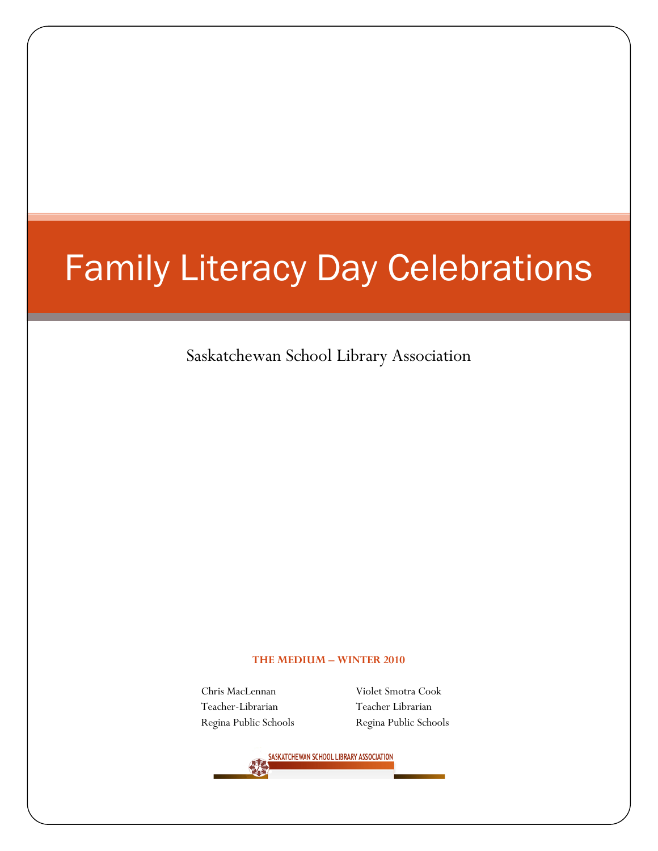# Family Literacy Day Celebrations

Saskatchewan School Library Association

#### **THE MEDIUM – WINTER 2010**

Chris MacLennan Violet Smotra Cook Teacher-Librarian Teacher Librarian

Regina Public Schools Regina Public Schools

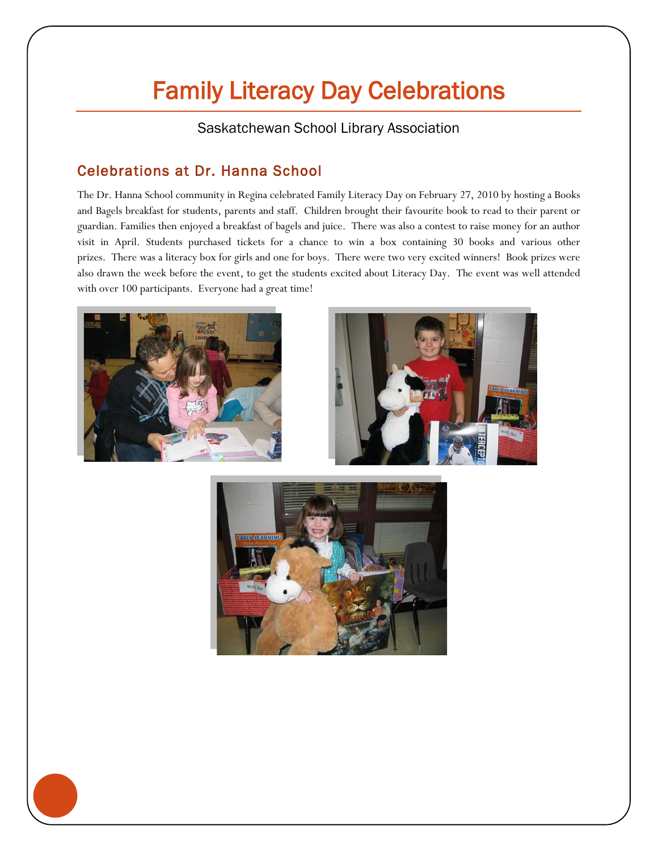## Family Literacy Day Celebrations

Saskatchewan School Library Association

### Celebrations at Dr. Hanna School

The Dr. Hanna School community in Regina celebrated Family Literacy Day on February 27, 2010 by hosting a Books and Bagels breakfast for students, parents and staff. Children brought their favourite book to read to their parent or guardian. Families then enjoyed a breakfast of bagels and juice. There was also a contest to raise money for an author visit in April. Students purchased tickets for a chance to win a box containing 30 books and various other prizes. There was a literacy box for girls and one for boys. There were two very excited winners! Book prizes were also drawn the week before the event, to get the students excited about Literacy Day. The event was well attended with over 100 participants. Everyone had a great time!